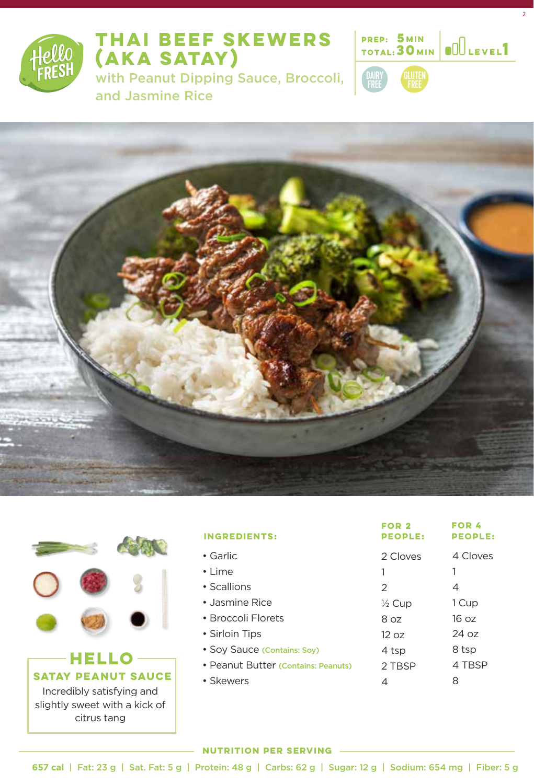

# **THAI BEEF SKEWERS (AKA SATAY)**

with Peanut Dipping Sauce, Broccoli, and Jasmine Rice



2





citrus tang

| <b>INGREDIENTS:</b>                 | FOR 2<br><b>PEOPLE:</b> | FOR 4<br><b>PEOPLE:</b> |
|-------------------------------------|-------------------------|-------------------------|
| $\bullet$ Garlic                    | 2 Cloves                | 4 Cloves                |
| $\cdot$   ime                       |                         |                         |
| • Scallions                         | 2                       | 4                       |
| • Jasmine Rice                      | $\frac{1}{2}$ Cup       | 1 Cup                   |
| • Broccoli Florets                  | 8 oz                    | 16 oz                   |
| • Sirloin Tips                      | 12 oz                   | 24 oz                   |
| • Soy Sauce (Contains: Soy)         | 4 tsp                   | 8 tsp                   |
| • Peanut Butter (Contains: Peanuts) | 2 TBSP                  | 4 TBSP                  |
| • Skewers                           | 4                       | 8                       |

#### **NUTRITION PER SERVING**